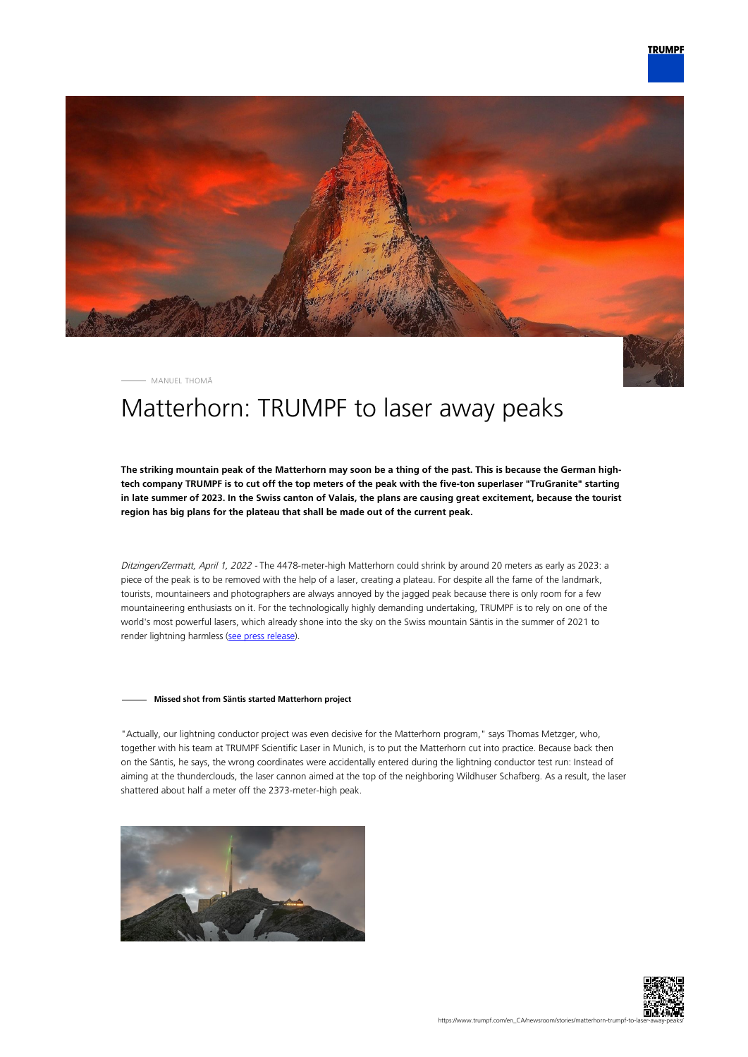

MANUEL THOMÄ

# Matterhorn: TRUMPF to laser away peaks

**The striking mountain peak of the Matterhorn may soon be a thing of the past. This is because the German hightech company TRUMPF is to cut off the top meters of the peak with the five-ton superlaser "TruGranite" starting in late summer of 2023. In the Swiss canton of Valais, the plans are causing great excitement, because the tourist region has big plans for the plateau that shall be made out of the current peak.**

Ditzingen/Zermatt, April 1, 2022 - The 4478-meter-high Matterhorn could shrink by around 20 meters as early as 2023: a piece of the peak is to be removed with the help of a laser, creating a plateau. For despite all the fame of the landmark, tourists, mountaineers and photographers are always annoyed by the jagged peak because there is only room for a few mountaineering enthusiasts on it. For the technologically highly demanding undertaking, TRUMPF is to rely on one of the world's most powerful lasers, which already shone into the sky on the Swiss mountain Säntis in the summer of 2021 to render lightning harmless ([see press release\)](https://www.trumpf.com/en_INT/newsroom/global-press-releases/press-release-detail-page/Press/a-super-laser-on-saentis-mountain-trumpf-fires-up-laser-lightning-rod-in-swiss-alps/).

#### **Missed shot from Säntis started Matterhorn project**

"Actually, our lightning conductor project was even decisive for the Matterhorn program," says Thomas Metzger, who, together with his team at TRUMPF Scientific Laser in Munich, is to put the Matterhorn cut into practice. Because back then on the Säntis, he says, the wrong coordinates were accidentally entered during the lightning conductor test run: Instead of aiming at the thunderclouds, the laser cannon aimed at the top of the neighboring Wildhuser Schafberg. As a result, the laser shattered about half a meter off the 2373-meter-high peak.



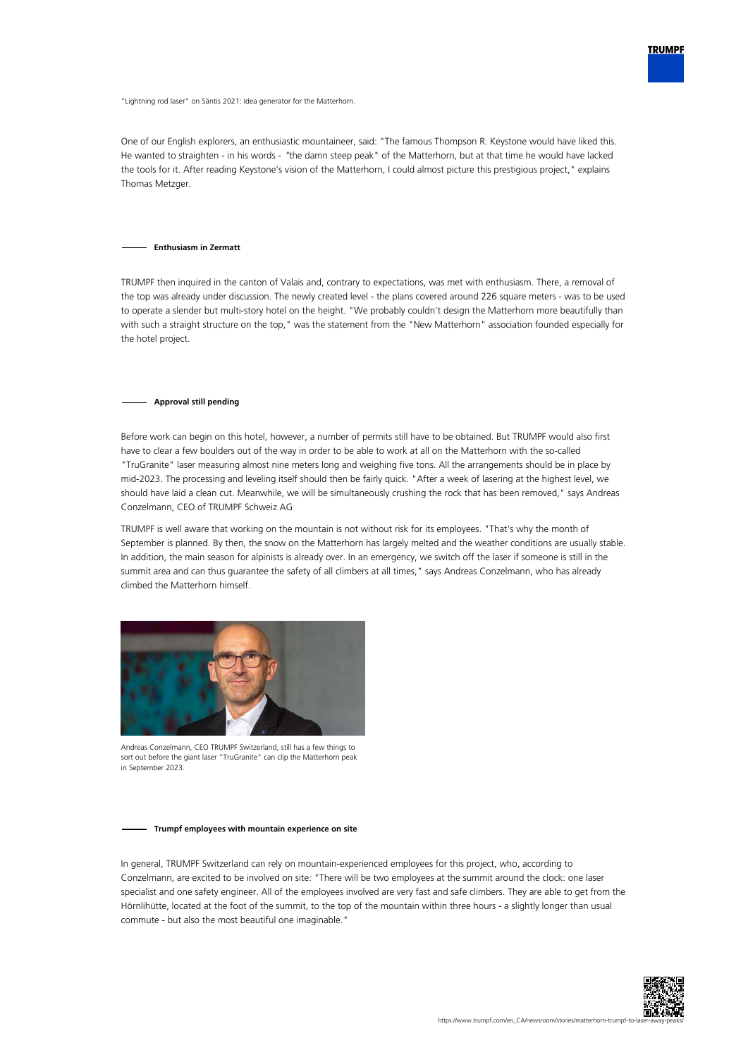

"Lightning rod laser" on Säntis 2021: Idea generator for the Matterhorn.

One of our English explorers, an enthusiastic mountaineer, said: "The famous Thompson R. Keystone would have liked this. He wanted to straighten - in his words - "the damn steep peak" of the Matterhorn, but at that time he would have lacked the tools for it. After reading Keystone's vision of the Matterhorn, I could almost picture this prestigious project," explains Thomas Metzger.

#### **Enthusiasm in Zermatt**

TRUMPF then inquired in the canton of Valais and, contrary to expectations, was met with enthusiasm. There, a removal of the top was already under discussion. The newly created level - the plans covered around 226 square meters - was to be used to operate a slender but multi-story hotel on the height. "We probably couldn't design the Matterhorn more beautifully than with such a straight structure on the top," was the statement from the "New Matterhorn" association founded especially for the hotel project.

#### **Approval still pending**

Before work can begin on this hotel, however, a number of permits still have to be obtained. But TRUMPF would also first have to clear a few boulders out of the way in order to be able to work at all on the Matterhorn with the so-called "TruGranite" laser measuring almost nine meters long and weighing five tons. All the arrangements should be in place by mid-2023. The processing and leveling itself should then be fairly quick. "After a week of lasering at the highest level, we should have laid a clean cut. Meanwhile, we will be simultaneously crushing the rock that has been removed," says Andreas Conzelmann, CEO of TRUMPF Schweiz AG

TRUMPF is well aware that working on the mountain is not without risk for its employees. "That's why the month of September is planned. By then, the snow on the Matterhorn has largely melted and the weather conditions are usually stable. In addition, the main season for alpinists is already over. In an emergency, we switch off the laser if someone is still in the summit area and can thus guarantee the safety of all climbers at all times," says Andreas Conzelmann, who has already climbed the Matterhorn himself.



Andreas Conzelmann, CEO TRUMPF Switzerland, still has a few things to sort out before the giant laser "TruGranite" can clip the Matterhorn peak in September 2023.

#### **Trumpf employees with mountain experience on site**

In general, TRUMPF Switzerland can rely on mountain-experienced employees for this project, who, according to Conzelmann, are excited to be involved on site: "There will be two employees at the summit around the clock: one laser specialist and one safety engineer. All of the employees involved are very fast and safe climbers. They are able to get from the Hörnlihütte, located at the foot of the summit, to the top of the mountain within three hours - a slightly longer than usual commute - but also the most beautiful one imaginable."